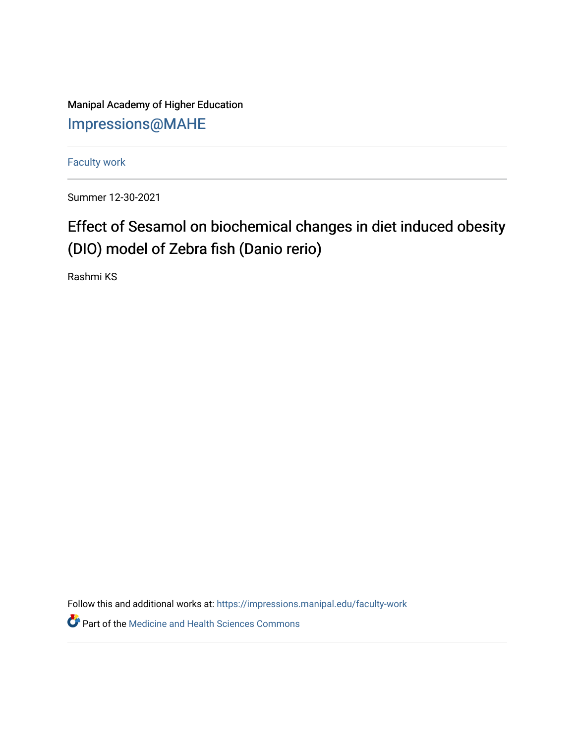Manipal Academy of Higher Education [Impressions@MAHE](https://impressions.manipal.edu/)

[Faculty work](https://impressions.manipal.edu/faculty-work) 

Summer 12-30-2021

## Effect of Sesamol on biochemical changes in diet induced obesity (DIO) model of Zebra fish (Danio rerio)

Rashmi KS

Follow this and additional works at: [https://impressions.manipal.edu/faculty-work](https://impressions.manipal.edu/faculty-work?utm_source=impressions.manipal.edu%2Ffaculty-work%2F107&utm_medium=PDF&utm_campaign=PDFCoverPages) 

**Part of the Medicine and Health Sciences Commons**